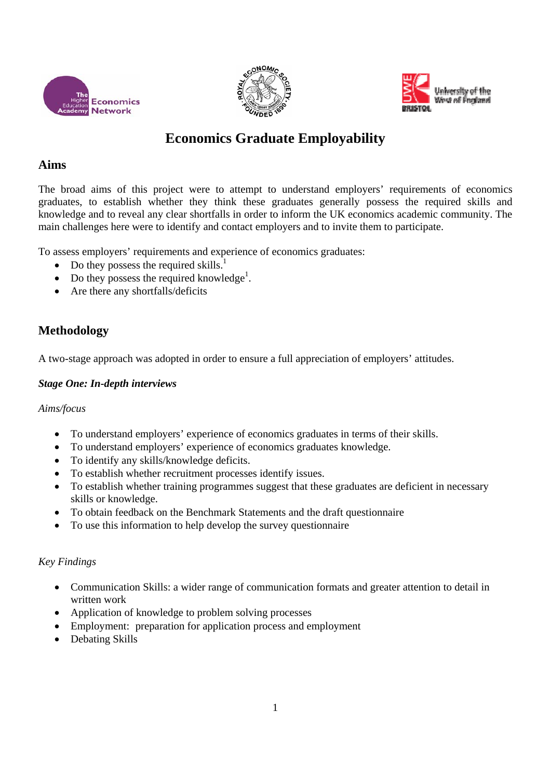





# **Economics Graduate Employability**

### **Aims**

The broad aims of this project were to attempt to understand employers' requirements of economics graduates, to establish whether they think these graduates generally possess the required skills and knowledge and to reveal any clear shortfalls in order to inform the UK economics academic community. The main challenges here were to identify and contact employers and to invite them to participate.

To assess employers' requirements and experience of economics graduates:

- Do they possess the required skills.<sup>1</sup>
- Do they possess the required knowledge<sup>1</sup>.
- Are there any shortfalls/deficits

# **Methodology**

A two-stage approach was adopted in order to ensure a full appreciation of employers' attitudes.

### *Stage One: In-depth interviews*

*Aims/focus* 

- To understand employers' experience of economics graduates in terms of their skills.
- To understand employers' experience of economics graduates knowledge.
- To identify any skills/knowledge deficits.
- To establish whether recruitment processes identify issues.
- To establish whether training programmes suggest that these graduates are deficient in necessary skills or knowledge.
- To obtain feedback on the Benchmark Statements and the draft questionnaire
- To use this information to help develop the survey questionnaire

### *Key Findings*

- Communication Skills: a wider range of communication formats and greater attention to detail in written work
- Application of knowledge to problem solving processes
- Employment: preparation for application process and employment
- Debating Skills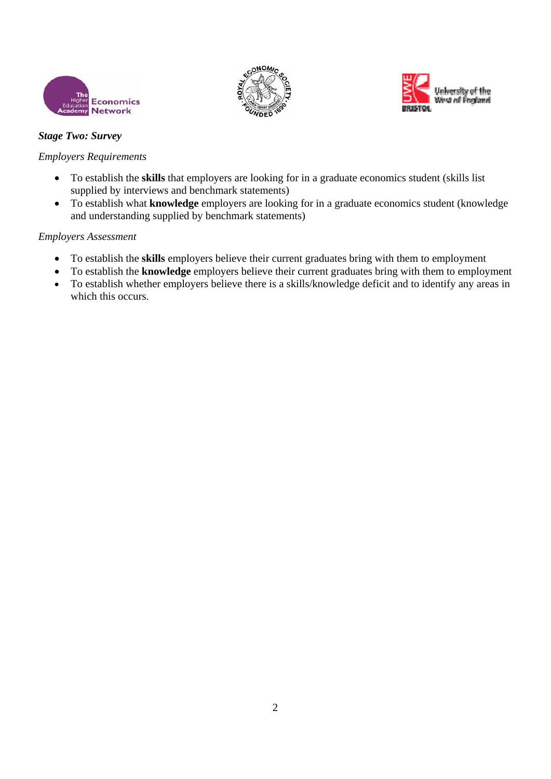





### *Stage Two: Survey*

### *Employers Requirements*

- To establish the **skills** that employers are looking for in a graduate economics student (skills list supplied by interviews and benchmark statements)
- To establish what **knowledge** employers are looking for in a graduate economics student (knowledge and understanding supplied by benchmark statements)

### *Employers Assessment*

- To establish the **skills** employers believe their current graduates bring with them to employment
- To establish the **knowledge** employers believe their current graduates bring with them to employment
- To establish whether employers believe there is a skills/knowledge deficit and to identify any areas in which this occurs.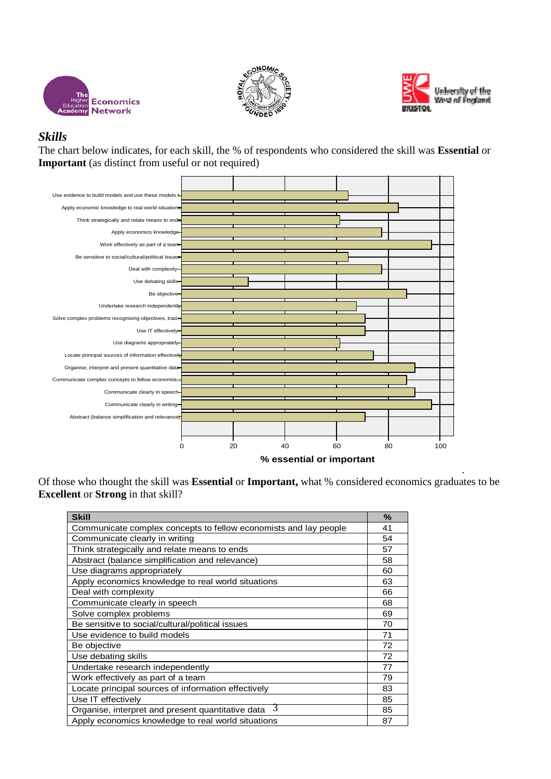





### *Skills*

The chart below indicates, for each skill, the % of respondents who considered the skill was **Essential** or **Important** (as distinct from useful or not required)



Of those who thought the skill was **Essential** or **Important,** what % considered economics graduates to be **Excellent** or **Strong** in that skill?

| <b>Skill</b>                                                     | $\frac{9}{6}$ |
|------------------------------------------------------------------|---------------|
| Communicate complex concepts to fellow economists and lay people | 41            |
| Communicate clearly in writing                                   | 54            |
| Think strategically and relate means to ends                     | 57            |
| Abstract (balance simplification and relevance)                  | 58            |
| Use diagrams appropriately                                       | 60            |
| Apply economics knowledge to real world situations               | 63            |
| Deal with complexity                                             | 66            |
| Communicate clearly in speech                                    | 68            |
| Solve complex problems                                           | 69            |
| Be sensitive to social/cultural/political issues                 | 70            |
| Use evidence to build models                                     | 71            |
| Be objective                                                     | 72            |
| Use debating skills                                              | 72            |
| Undertake research independently                                 | 77            |
| Work effectively as part of a team                               | 79            |
| Locate principal sources of information effectively              | 83            |
| Use IT effectively                                               | 85            |
| 3<br>Organise, interpret and present quantitative data           | 85            |
| Apply economics knowledge to real world situations               | 87            |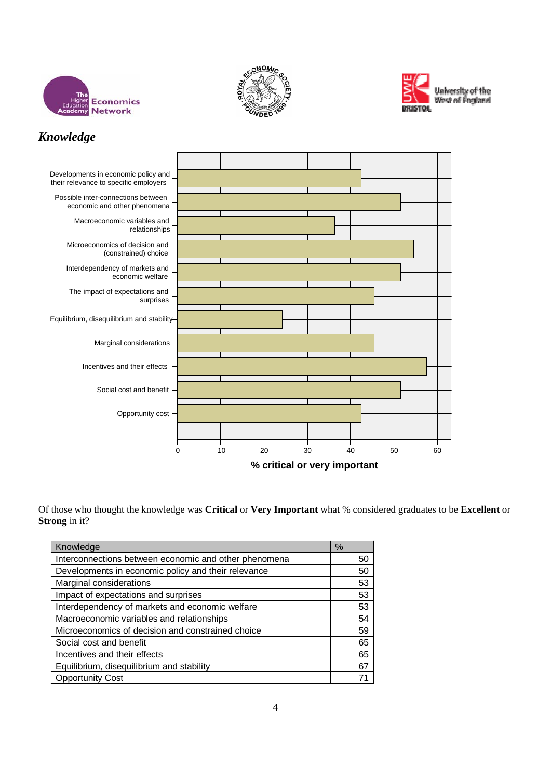





# *Knowledge*



Of those who thought the knowledge was **Critical** or **Very Important** what % considered graduates to be **Excellent** or **Strong** in it?

| Knowledge                                             | %  |
|-------------------------------------------------------|----|
| Interconnections between economic and other phenomena | 50 |
| Developments in economic policy and their relevance   | 50 |
| Marginal considerations                               | 53 |
| Impact of expectations and surprises                  | 53 |
| Interdependency of markets and economic welfare       | 53 |
| Macroeconomic variables and relationships             | 54 |
| Microeconomics of decision and constrained choice     | 59 |
| Social cost and benefit                               | 65 |
| Incentives and their effects                          | 65 |
| Equilibrium, disequilibrium and stability             | 67 |
| <b>Opportunity Cost</b>                               |    |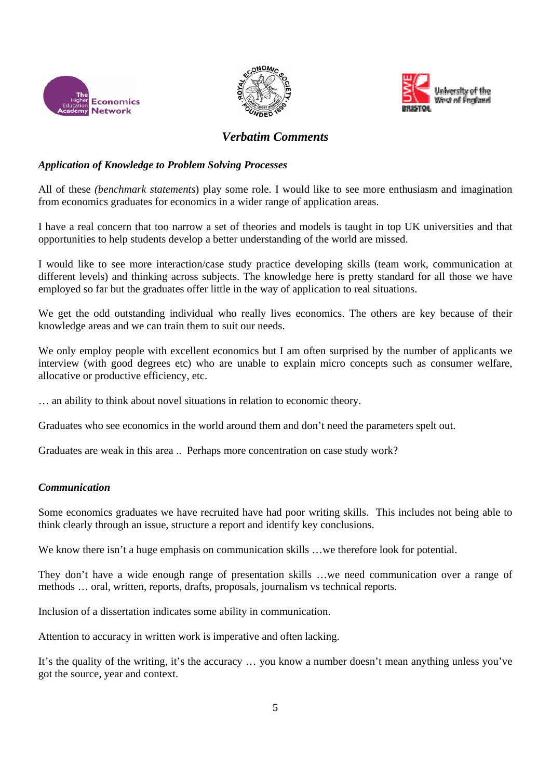





## *Verbatim Comments*

### *Application of Knowledge to Problem Solving Processes*

All of these *(benchmark statements*) play some role. I would like to see more enthusiasm and imagination from economics graduates for economics in a wider range of application areas.

I have a real concern that too narrow a set of theories and models is taught in top UK universities and that opportunities to help students develop a better understanding of the world are missed.

I would like to see more interaction/case study practice developing skills (team work, communication at different levels) and thinking across subjects. The knowledge here is pretty standard for all those we have employed so far but the graduates offer little in the way of application to real situations.

We get the odd outstanding individual who really lives economics. The others are key because of their knowledge areas and we can train them to suit our needs.

We only employ people with excellent economics but I am often surprised by the number of applicants we interview (with good degrees etc) who are unable to explain micro concepts such as consumer welfare, allocative or productive efficiency, etc.

… an ability to think about novel situations in relation to economic theory.

Graduates who see economics in the world around them and don't need the parameters spelt out.

Graduates are weak in this area .. Perhaps more concentration on case study work?

### *Communication*

Some economics graduates we have recruited have had poor writing skills. This includes not being able to think clearly through an issue, structure a report and identify key conclusions.

We know there isn't a huge emphasis on communication skills ... we therefore look for potential.

They don't have a wide enough range of presentation skills …we need communication over a range of methods … oral, written, reports, drafts, proposals, journalism vs technical reports.

Inclusion of a dissertation indicates some ability in communication.

Attention to accuracy in written work is imperative and often lacking.

It's the quality of the writing, it's the accuracy … you know a number doesn't mean anything unless you've got the source, year and context.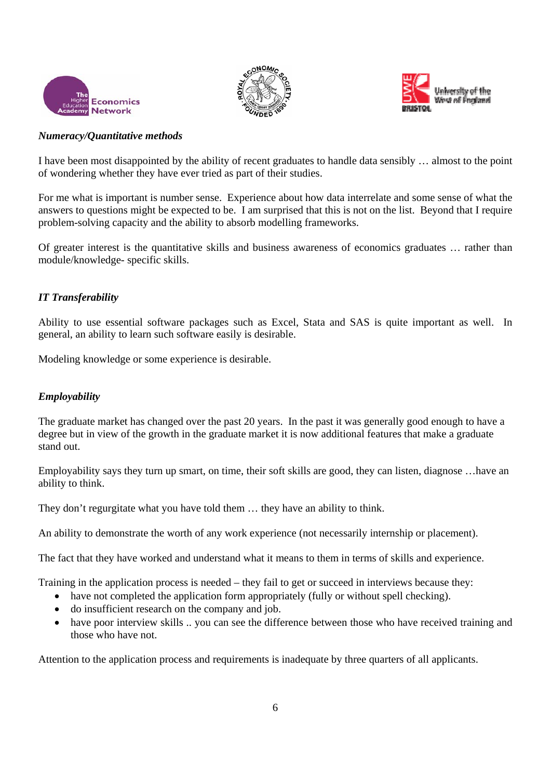





#### *Numeracy/Quantitative methods*

I have been most disappointed by the ability of recent graduates to handle data sensibly … almost to the point of wondering whether they have ever tried as part of their studies.

For me what is important is number sense. Experience about how data interrelate and some sense of what the answers to questions might be expected to be. I am surprised that this is not on the list. Beyond that I require problem-solving capacity and the ability to absorb modelling frameworks.

Of greater interest is the quantitative skills and business awareness of economics graduates … rather than module/knowledge- specific skills.

### *IT Transferability*

Ability to use essential software packages such as Excel, Stata and SAS is quite important as well. In general, an ability to learn such software easily is desirable.

Modeling knowledge or some experience is desirable.

### *Employability*

The graduate market has changed over the past 20 years. In the past it was generally good enough to have a degree but in view of the growth in the graduate market it is now additional features that make a graduate stand out.

Employability says they turn up smart, on time, their soft skills are good, they can listen, diagnose …have an ability to think.

They don't regurgitate what you have told them … they have an ability to think.

An ability to demonstrate the worth of any work experience (not necessarily internship or placement).

The fact that they have worked and understand what it means to them in terms of skills and experience.

Training in the application process is needed – they fail to get or succeed in interviews because they:

- have not completed the application form appropriately (fully or without spell checking).
- do insufficient research on the company and job.
- have poor interview skills .. you can see the difference between those who have received training and those who have not.

Attention to the application process and requirements is inadequate by three quarters of all applicants.